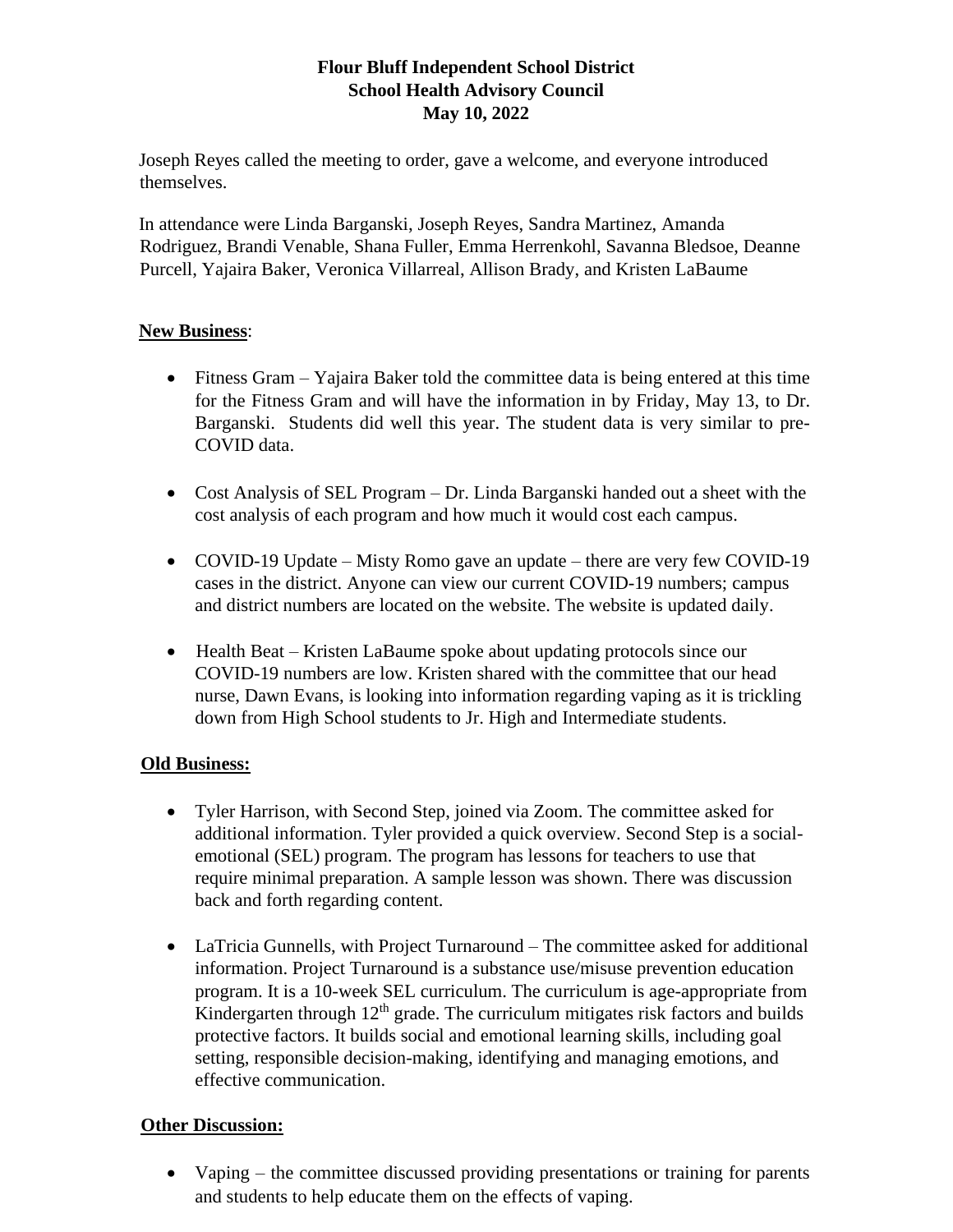### **Flour Bluff Independent School District School Health Advisory Council May 10, 2022**

Joseph Reyes called the meeting to order, gave a welcome, and everyone introduced themselves.

In attendance were Linda Barganski, Joseph Reyes, Sandra Martinez, Amanda Rodriguez, Brandi Venable, Shana Fuller, Emma Herrenkohl, Savanna Bledsoe, Deanne Purcell, Yajaira Baker, Veronica Villarreal, Allison Brady, and Kristen LaBaume

#### **New Business**:

- Fitness Gram Yajaira Baker told the committee data is being entered at this time for the Fitness Gram and will have the information in by Friday, May 13, to Dr. Barganski. Students did well this year. The student data is very similar to pre-COVID data.
- Cost Analysis of SEL Program Dr. Linda Barganski handed out a sheet with the cost analysis of each program and how much it would cost each campus.
- COVID-19 Update Misty Romo gave an update there are very few COVID-19 cases in the district. Anyone can view our current COVID-19 numbers; campus and district numbers are located on the website. The website is updated daily.
- Health Beat Kristen LaBaume spoke about updating protocols since our COVID-19 numbers are low. Kristen shared with the committee that our head nurse, Dawn Evans, is looking into information regarding vaping as it is trickling down from High School students to Jr. High and Intermediate students.

## **Old Business:**

- Tyler Harrison, with Second Step, joined via Zoom. The committee asked for additional information. Tyler provided a quick overview. Second Step is a socialemotional (SEL) program. The program has lessons for teachers to use that require minimal preparation. A sample lesson was shown. There was discussion back and forth regarding content.
- LaTricia Gunnells, with Project Turnaround The committee asked for additional information. Project Turnaround is a substance use/misuse prevention education program. It is a 10-week SEL curriculum. The curriculum is age-appropriate from Kindergarten through  $12<sup>th</sup>$  grade. The curriculum mitigates risk factors and builds protective factors. It builds social and emotional learning skills, including goal setting, responsible decision-making, identifying and managing emotions, and effective communication.

#### **Other Discussion:**

• Vaping – the committee discussed providing presentations or training for parents and students to help educate them on the effects of vaping.